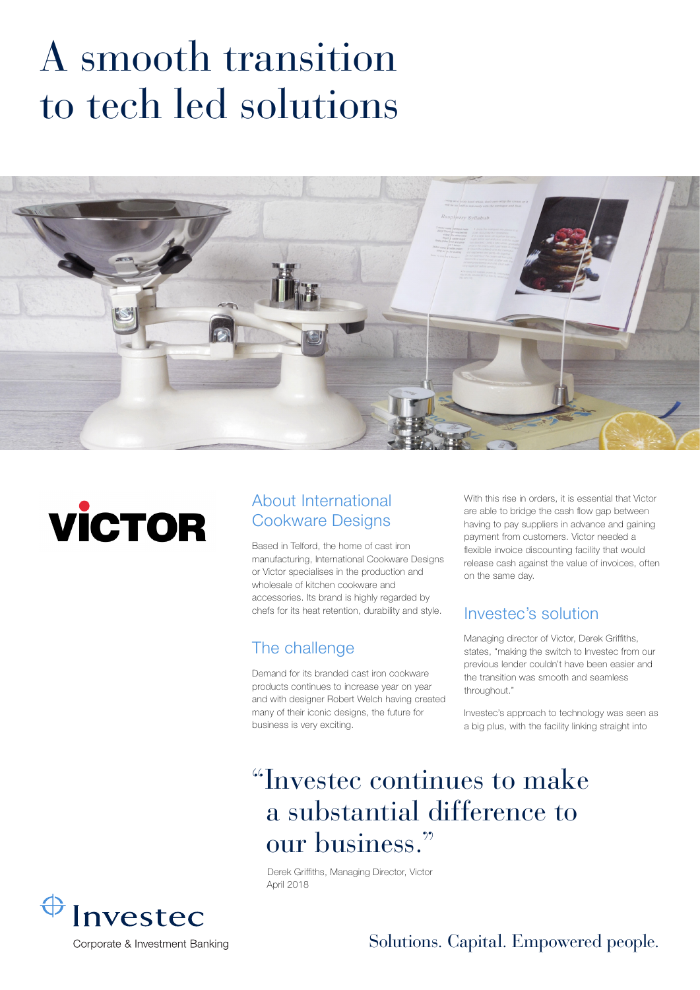# A smooth transition to tech led solutions





#### About International Cookware Designs

Based in Telford, the home of cast iron manufacturing, International Cookware Designs or Victor specialises in the production and wholesale of kitchen cookware and accessories. Its brand is highly regarded by chefs for its heat retention, durability and style.

#### The challenge

Demand for its branded cast iron cookware products continues to increase year on year and with designer Robert Welch having created many of their iconic designs, the future for business is very exciting.

With this rise in orders, it is essential that Victor are able to bridge the cash flow gap between having to pay suppliers in advance and gaining payment from customers. Victor needed a flexible invoice discounting facility that would release cash against the value of invoices, often on the same day.

#### Investec's solution

Managing director of Victor, Derek Griffiths, states, "making the switch to Investec from our previous lender couldn't have been easier and the transition was smooth and seamless throughout."

Investec's approach to technology was seen as a big plus, with the facility linking straight into

## "Investec continues to make a substantial difference to our business."

Derek Griffiths, Managing Director, Victor April 2018



Solutions. Capital. Empowered people.